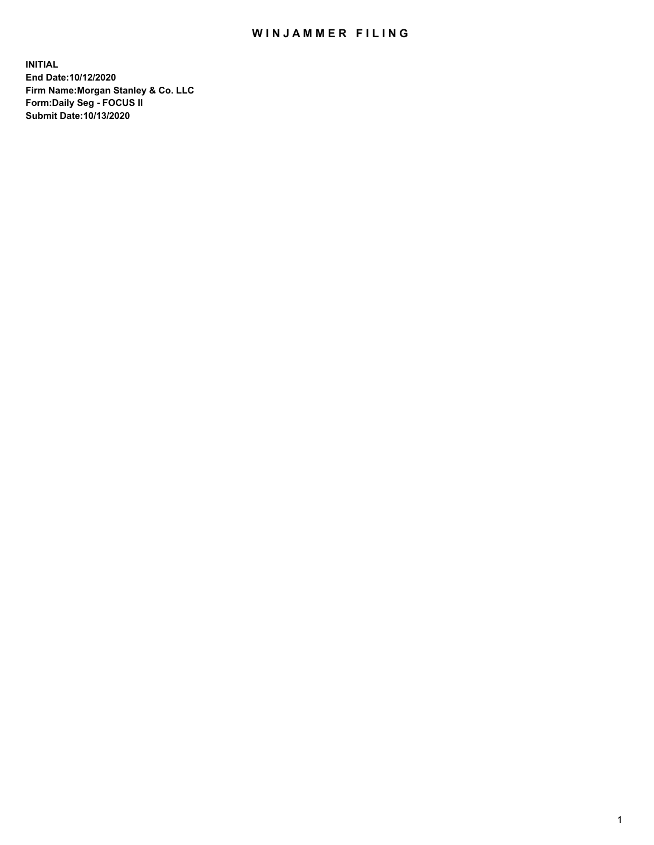## WIN JAMMER FILING

**INITIAL End Date:10/12/2020 Firm Name:Morgan Stanley & Co. LLC Form:Daily Seg - FOCUS II Submit Date:10/13/2020**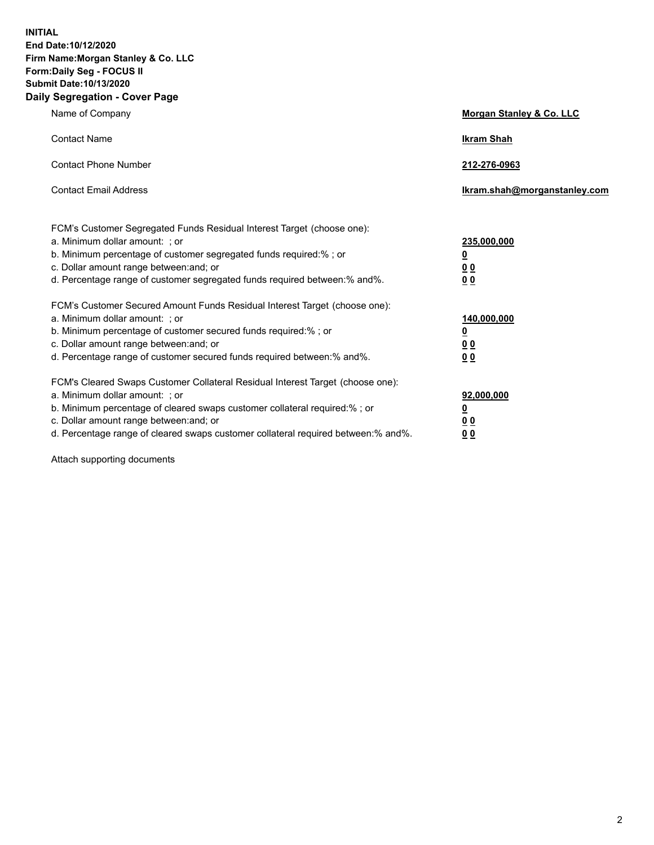**INITIAL End Date:10/12/2020 Firm Name:Morgan Stanley & Co. LLC Form:Daily Seg - FOCUS II Submit Date:10/13/2020 Daily Segregation - Cover Page**

| Name of Company                                                                                                                                                                                                                                                                                                               | Morgan Stanley & Co. LLC                                    |
|-------------------------------------------------------------------------------------------------------------------------------------------------------------------------------------------------------------------------------------------------------------------------------------------------------------------------------|-------------------------------------------------------------|
| <b>Contact Name</b>                                                                                                                                                                                                                                                                                                           | <b>Ikram Shah</b>                                           |
| <b>Contact Phone Number</b>                                                                                                                                                                                                                                                                                                   | 212-276-0963                                                |
| <b>Contact Email Address</b>                                                                                                                                                                                                                                                                                                  | Ikram.shah@morganstanley.com                                |
| FCM's Customer Segregated Funds Residual Interest Target (choose one):<br>a. Minimum dollar amount: ; or<br>b. Minimum percentage of customer segregated funds required:% ; or<br>c. Dollar amount range between: and; or<br>d. Percentage range of customer segregated funds required between:% and%.                        | 235,000,000<br><u>0</u><br>0 <sub>0</sub><br>0 <sub>0</sub> |
| FCM's Customer Secured Amount Funds Residual Interest Target (choose one):<br>a. Minimum dollar amount: ; or<br>b. Minimum percentage of customer secured funds required:%; or<br>c. Dollar amount range between: and; or<br>d. Percentage range of customer secured funds required between:% and%.                           | 140,000,000<br><u>0</u><br>0 <sub>0</sub><br>0 <sub>0</sub> |
| FCM's Cleared Swaps Customer Collateral Residual Interest Target (choose one):<br>a. Minimum dollar amount: ; or<br>b. Minimum percentage of cleared swaps customer collateral required:%; or<br>c. Dollar amount range between: and; or<br>d. Percentage range of cleared swaps customer collateral required between:% and%. | 92,000,000<br><u>0</u><br><u>0 0</u><br>0 <sub>0</sub>      |

Attach supporting documents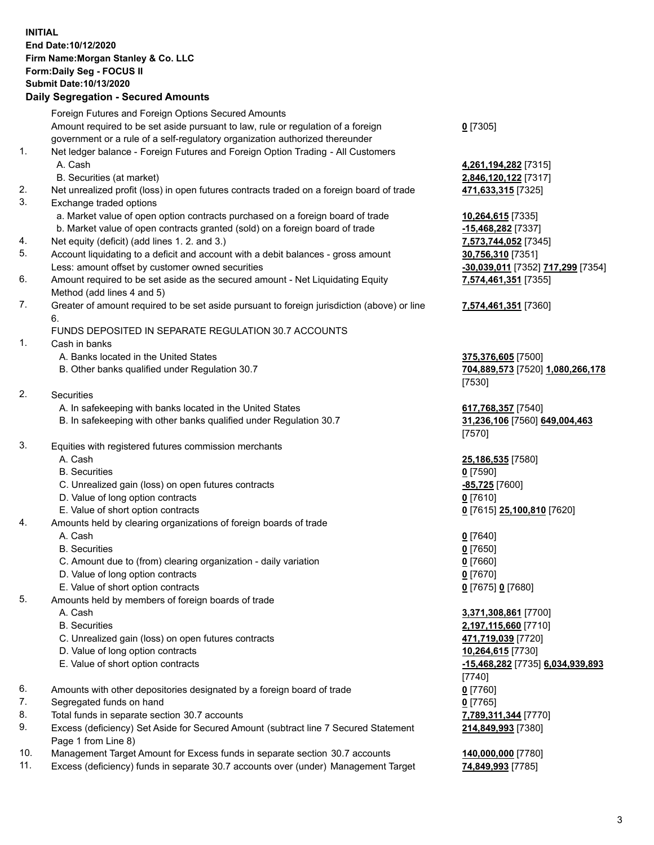## **INITIAL End Date:10/12/2020 Firm Name:Morgan Stanley & Co. LLC Form:Daily Seg - FOCUS II Submit Date:10/13/2020**

## **Daily Segregation - Secured Amounts**

|          | Foreign Futures and Foreign Options Secured Amounts                                                        |                                   |
|----------|------------------------------------------------------------------------------------------------------------|-----------------------------------|
|          | Amount required to be set aside pursuant to law, rule or regulation of a foreign                           | $0$ [7305]                        |
|          | government or a rule of a self-regulatory organization authorized thereunder                               |                                   |
| 1.       | Net ledger balance - Foreign Futures and Foreign Option Trading - All Customers                            |                                   |
|          | A. Cash                                                                                                    | 4,261,194,282 [7315]              |
|          | B. Securities (at market)                                                                                  | 2,846,120,122 [7317]              |
| 2.       | Net unrealized profit (loss) in open futures contracts traded on a foreign board of trade                  | 471,633,315 [7325]                |
| 3.       | Exchange traded options                                                                                    |                                   |
|          | a. Market value of open option contracts purchased on a foreign board of trade                             | 10,264,615 [7335]                 |
|          | b. Market value of open contracts granted (sold) on a foreign board of trade                               | $-15,468,282$ [7337]              |
| 4.       | Net equity (deficit) (add lines 1. 2. and 3.)                                                              | 7,573,744,052 [7345]              |
| 5.       | Account liquidating to a deficit and account with a debit balances - gross amount                          | 30,756,310 [7351]                 |
|          | Less: amount offset by customer owned securities                                                           | -30,039,011 [7352] 717,299 [7354] |
| 6.       | Amount required to be set aside as the secured amount - Net Liquidating Equity                             | 7,574,461,351 [7355]              |
|          | Method (add lines 4 and 5)                                                                                 |                                   |
| 7.       | Greater of amount required to be set aside pursuant to foreign jurisdiction (above) or line<br>6.          | 7,574,461,351 [7360]              |
|          | FUNDS DEPOSITED IN SEPARATE REGULATION 30.7 ACCOUNTS                                                       |                                   |
| 1.       | Cash in banks                                                                                              |                                   |
|          | A. Banks located in the United States                                                                      | 375,376,605 [7500]                |
|          | B. Other banks qualified under Regulation 30.7                                                             | 704,889,573 [7520] 1,080,266,178  |
|          |                                                                                                            | [7530]                            |
| 2.       | Securities                                                                                                 |                                   |
|          | A. In safekeeping with banks located in the United States                                                  | 617,768,357 [7540]                |
|          | B. In safekeeping with other banks qualified under Regulation 30.7                                         | 31,236,106 [7560] 649,004,463     |
|          |                                                                                                            | [7570]                            |
| 3.       | Equities with registered futures commission merchants                                                      |                                   |
|          | A. Cash                                                                                                    | 25,186,535 [7580]                 |
|          | <b>B.</b> Securities                                                                                       | $0$ [7590]                        |
|          | C. Unrealized gain (loss) on open futures contracts                                                        | $-85,725$ [7600]                  |
|          | D. Value of long option contracts                                                                          | $0$ [7610]                        |
|          | E. Value of short option contracts                                                                         | 0 [7615] 25,100,810 [7620]        |
| 4.       | Amounts held by clearing organizations of foreign boards of trade                                          |                                   |
|          | A. Cash                                                                                                    | $0$ [7640]                        |
|          | <b>B.</b> Securities                                                                                       | $0$ [7650]                        |
|          | C. Amount due to (from) clearing organization - daily variation                                            | $0$ [7660]                        |
|          | D. Value of long option contracts                                                                          | $0$ [7670]                        |
|          | E. Value of short option contracts                                                                         | 0 [7675] 0 [7680]                 |
| 5.       | Amounts held by members of foreign boards of trade                                                         |                                   |
|          | A. Cash                                                                                                    | 3,371,308,861 [7700]              |
|          | <b>B.</b> Securities                                                                                       | 2,197,115,660 [7710]              |
|          | C. Unrealized gain (loss) on open futures contracts                                                        | 471,719,039 [7720]                |
|          | D. Value of long option contracts                                                                          | 10,264,615 [7730]                 |
|          | E. Value of short option contracts                                                                         | -15,468,282 [7735] 6,034,939,893  |
|          |                                                                                                            | [7740]                            |
| 6.       | Amounts with other depositories designated by a foreign board of trade                                     | $0$ [7760]                        |
| 7.       | Segregated funds on hand                                                                                   | $0$ [7765]                        |
| 8.<br>9. | Total funds in separate section 30.7 accounts                                                              | 7,789,311,344 [7770]              |
|          | Excess (deficiency) Set Aside for Secured Amount (subtract line 7 Secured Statement<br>Page 1 from Line 8) | 214,849,993 [7380]                |
|          |                                                                                                            |                                   |

- 10. Management Target Amount for Excess funds in separate section 30.7 accounts **140,000,000** [7780]
- 11. Excess (deficiency) funds in separate 30.7 accounts over (under) Management Target **74,849,993** [7785]

3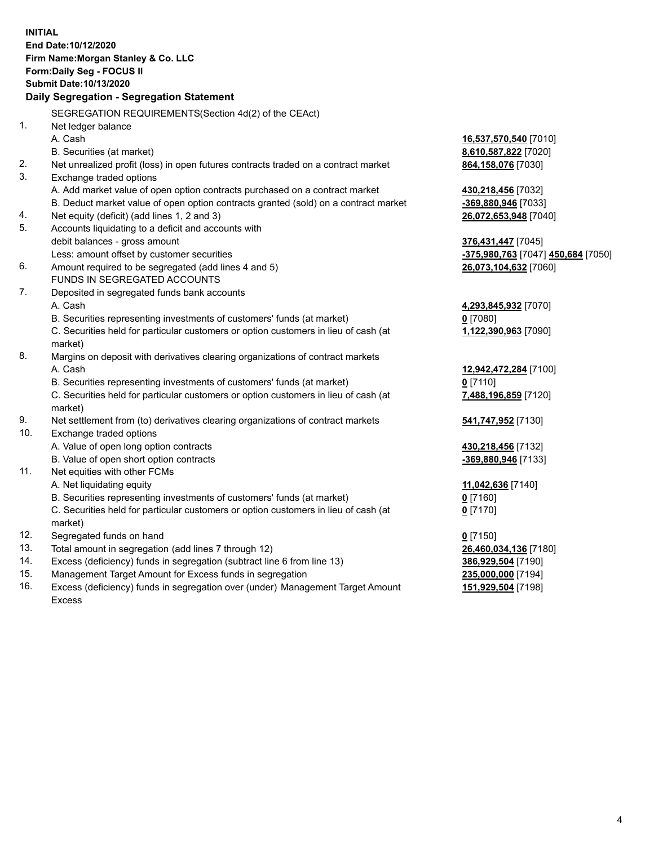|          | <b>INITIAL</b><br>End Date: 10/12/2020<br>Firm Name: Morgan Stanley & Co. LLC<br>Form: Daily Seg - FOCUS II<br>Submit Date: 10/13/2020 |                                    |
|----------|----------------------------------------------------------------------------------------------------------------------------------------|------------------------------------|
|          | Daily Segregation - Segregation Statement                                                                                              |                                    |
|          | SEGREGATION REQUIREMENTS(Section 4d(2) of the CEAct)                                                                                   |                                    |
| 1.       | Net ledger balance                                                                                                                     |                                    |
|          | A. Cash                                                                                                                                | 16,537,570,540 [7010]              |
|          | B. Securities (at market)                                                                                                              | 8,610,587,822 [7020]               |
| 2.       | Net unrealized profit (loss) in open futures contracts traded on a contract market                                                     | 864,158,076 [7030]                 |
| 3.       | Exchange traded options                                                                                                                |                                    |
|          | A. Add market value of open option contracts purchased on a contract market                                                            | 430,218,456 [7032]                 |
|          | B. Deduct market value of open option contracts granted (sold) on a contract market                                                    | -369,880,946 [7033]                |
| 4.<br>5. | Net equity (deficit) (add lines 1, 2 and 3)                                                                                            | 26,072,653,948 [7040]              |
|          | Accounts liquidating to a deficit and accounts with<br>debit balances - gross amount                                                   | 376,431,447 [7045]                 |
|          | Less: amount offset by customer securities                                                                                             | -375,980,763 [7047] 450,684 [7050] |
| 6.       | Amount required to be segregated (add lines 4 and 5)                                                                                   | 26,073,104,632 [7060]              |
|          | FUNDS IN SEGREGATED ACCOUNTS                                                                                                           |                                    |
| 7.       | Deposited in segregated funds bank accounts                                                                                            |                                    |
|          | A. Cash                                                                                                                                | 4,293,845,932 [7070]               |
|          | B. Securities representing investments of customers' funds (at market)                                                                 | $0$ [7080]                         |
|          | C. Securities held for particular customers or option customers in lieu of cash (at                                                    | 1,122,390,963 [7090]               |
|          | market)                                                                                                                                |                                    |
| 8.       | Margins on deposit with derivatives clearing organizations of contract markets                                                         |                                    |
|          | A. Cash                                                                                                                                | 12,942,472,284 [7100]              |
|          | B. Securities representing investments of customers' funds (at market)                                                                 | $0$ [7110]                         |
|          | C. Securities held for particular customers or option customers in lieu of cash (at                                                    | 7,488,196,859 [7120]               |
|          | market)                                                                                                                                |                                    |
| 9.       | Net settlement from (to) derivatives clearing organizations of contract markets                                                        | 541,747,952 [7130]                 |
| 10.      | Exchange traded options                                                                                                                |                                    |
|          | A. Value of open long option contracts                                                                                                 | 430,218,456 [7132]                 |
|          | B. Value of open short option contracts                                                                                                | -369,880,946 [7133]                |
| 11.      | Net equities with other FCMs                                                                                                           |                                    |
|          | A. Net liquidating equity                                                                                                              | 11,042,636 [7140]                  |
|          | B. Securities representing investments of customers' funds (at market)                                                                 | $0$ [7160]                         |
|          | C. Securities held for particular customers or option customers in lieu of cash (at                                                    | $0$ [7170]                         |
|          | market)                                                                                                                                |                                    |
| 12.      | Segregated funds on hand                                                                                                               | $0$ [7150]                         |
| 13.      | Total amount in segregation (add lines 7 through 12)                                                                                   | 26,460,034,136 [7180]              |
| 14.      | Excess (deficiency) funds in segregation (subtract line 6 from line 13)                                                                | 386,929,504 [7190]                 |
| 15.      | Management Target Amount for Excess funds in segregation                                                                               | 235,000,000 [7194]                 |
| 16.      | Excess (deficiency) funds in segregation over (under) Management Target Amount                                                         | 151,929,504 [7198]                 |

Excess